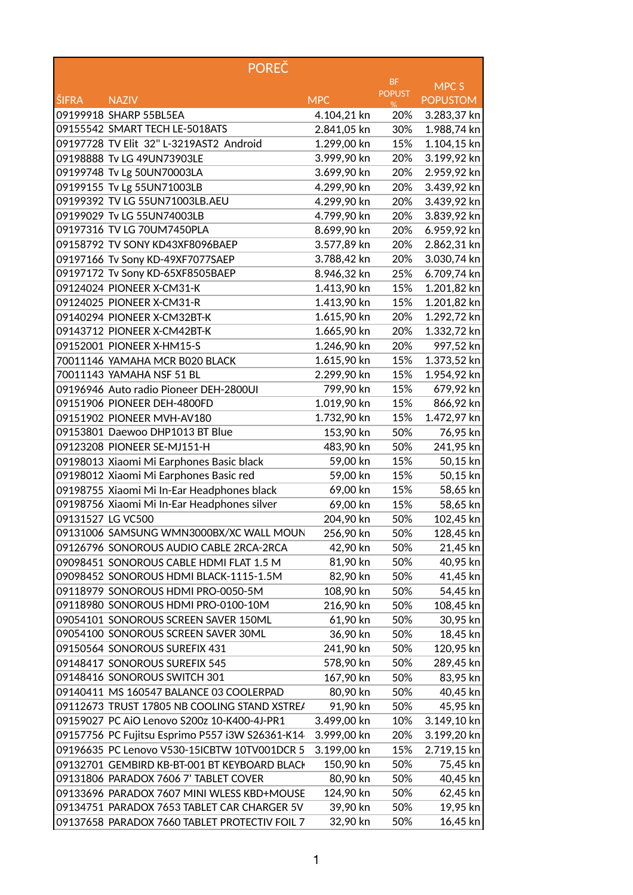|                   | <b>POREČ</b>                                                                       |                      |               |                       |
|-------------------|------------------------------------------------------------------------------------|----------------------|---------------|-----------------------|
|                   |                                                                                    |                      | <b>BF</b>     | MPC S                 |
| <b>ŠIFRA</b>      | <b>NAZIV</b>                                                                       | <b>MPC</b>           | <b>POPUST</b> | <b>POPUSTOM</b>       |
|                   | 09199918 SHARP 55BL5EA                                                             | 4.104,21 kn          | 20%           | 3.283,37 kn           |
|                   | 09155542 SMART TECH LE-5018ATS                                                     | 2.841,05 kn          | 30%           | 1.988,74 kn           |
|                   | 09197728 TV Elit 32" L-3219AST2 Android                                            | 1.299,00 kn          | 15%           | 1.104,15 kn           |
|                   | 09198888 Tv LG 49UN73903LE                                                         | 3.999,90 kn          | 20%           | 3.199,92 kn           |
|                   | 09199748 Tv Lg 50UN70003LA                                                         | 3.699,90 kn          | 20%           | 2.959,92 kn           |
|                   | 09199155 Tv Lg 55UN71003LB                                                         | 4.299,90 kn          | 20%           | 3.439,92 kn           |
|                   | 09199392 TV LG 55UN71003LB.AEU                                                     | 4.299,90 kn          | 20%           | 3.439,92 kn           |
|                   | 09199029 Tv LG 55UN74003LB                                                         | 4.799,90 kn          | 20%           | 3.839,92 kn           |
|                   | 09197316 TV LG 70UM7450PLA                                                         | 8.699,90 kn          | 20%           | 6.959,92 kn           |
|                   | 09158792 TV SONY KD43XF8096BAEP                                                    | 3.577,89 kn          | 20%           | 2.862,31 kn           |
|                   | 09197166 Tv Sony KD-49XF7077SAEP                                                   | 3.788,42 kn          | 20%           | 3.030,74 kn           |
|                   | 09197172 Tv Sony KD-65XF8505BAEP                                                   | 8.946,32 kn          | 25%           | 6.709,74 kn           |
|                   | 09124024 PIONEER X-CM31-K                                                          | 1.413,90 kn          | 15%           | 1.201,82 kn           |
|                   | 09124025 PIONEER X-CM31-R                                                          | 1.413,90 kn          | 15%           | 1.201,82 kn           |
|                   | 09140294 PIONEER X-CM32BT-K                                                        | 1.615,90 kn          | 20%           | 1.292,72 kn           |
|                   | 09143712 PIONEER X-CM42BT-K                                                        | 1.665,90 kn          | 20%           | 1.332,72 kn           |
|                   | 09152001 PIONEER X-HM15-S                                                          | 1.246,90 kn          | 20%           | 997,52 kn             |
|                   | 70011146 YAMAHA MCR B020 BLACK                                                     | 1.615,90 kn          | 15%           | 1.373,52 kn           |
|                   | 70011143 YAMAHA NSF 51 BL                                                          | 2.299,90 kn          | 15%           | 1.954,92 kn           |
|                   | 09196946 Auto radio Pioneer DEH-2800UI                                             | 799,90 kn            | 15%           | 679,92 kn             |
|                   | 09151906 PIONEER DEH-4800FD                                                        | 1.019,90 kn          | 15%           | 866,92 kn             |
|                   | 09151902 PIONEER MVH-AV180                                                         | 1.732,90 kn          | 15%           | 1.472,97 kn           |
|                   | 09153801 Daewoo DHP1013 BT Blue                                                    | 153,90 kn            | 50%           |                       |
|                   | 09123208 PIONEER SE-MJ151-H                                                        |                      |               | 76,95 kn              |
|                   |                                                                                    | 483,90 kn            | 50%<br>15%    | 241,95 kn             |
|                   | 09198013 Xiaomi Mi Earphones Basic black<br>09198012 Xiaomi Mi Earphones Basic red | 59,00 kn             | 15%           | 50,15 kn              |
|                   | 09198755 Xiaomi Mi In-Ear Headphones black                                         | 59,00 kn             |               | 50,15 kn              |
|                   | 09198756 Xiaomi Mi In-Ear Headphones silver                                        | 69,00 kn<br>69,00 kn | 15%           | 58,65 kn              |
| 09131527 LG VC500 |                                                                                    |                      | 15%<br>50%    | 58,65 kn<br>102,45 kn |
|                   |                                                                                    | 204,90 kn            |               |                       |
|                   | 09131006 SAMSUNG WMN3000BX/XC WALL MOUN                                            | 256,90 kn            | 50%           | 128,45 kn             |
|                   | 09126796 SONOROUS AUDIO CABLE 2RCA-2RCA                                            | 42,90 kn             | 50%           | 21,45 kn              |
|                   | 09098451 SONOROUS CABLE HDMI FLAT 1.5 M                                            | 81,90 kn             | 50%           | 40,95 kn              |
|                   | 09098452 SONOROUS HDMI BLACK-1115-1.5M                                             | 82,90 kn             | 50%           | 41,45 kn              |
|                   | 09118979 SONOROUS HDMI PRO-0050-5M                                                 | 108,90 kn            | 50%           | 54,45 kn              |
|                   | 09118980 SONOROUS HDMI PRO-0100-10M                                                | 216,90 kn            | 50%           | 108,45 kn             |
|                   | 09054101 SONOROUS SCREEN SAVER 150ML                                               | 61,90 kn             | 50%           | 30,95 kn              |
|                   | 09054100 SONOROUS SCREEN SAVER 30ML                                                | 36,90 kn             | 50%           | 18,45 kn              |
|                   | 09150564 SONOROUS SUREFIX 431                                                      | 241,90 kn            | 50%           | 120,95 kn             |
|                   | 09148417 SONOROUS SUREFIX 545                                                      | 578,90 kn            | 50%           | 289,45 kn             |
|                   | 09148416 SONOROUS SWITCH 301                                                       | 167,90 kn            | 50%           | 83,95 kn              |
|                   | 09140411 MS 160547 BALANCE 03 COOLERPAD                                            | 80,90 kn             | 50%           | 40,45 kn              |
|                   | 09112673 TRUST 17805 NB COOLING STAND XSTREA                                       | 91,90 kn             | 50%           | 45,95 kn              |
|                   | 09159027 PC AIO Lenovo S200z 10-K400-4J-PR1                                        | 3.499,00 kn          | 10%           | 3.149,10 kn           |
|                   | 09157756 PC Fujitsu Esprimo P557 i3W S26361-K14                                    | 3.999,00 kn          | 20%           | 3.199,20 kn           |
|                   | 09196635 PC Lenovo V530-15ICBTW 10TV001DCR 5                                       | 3.199,00 kn          | 15%           | 2.719,15 kn           |
|                   | 09132701 GEMBIRD KB-BT-001 BT KEYBOARD BLACH                                       | 150,90 kn            | 50%           | 75,45 kn              |
|                   | 09131806 PARADOX 7606 7' TABLET COVER                                              | 80,90 kn             | 50%           | 40,45 kn              |
|                   | 09133696 PARADOX 7607 MINI WLESS KBD+MOUSE                                         | 124,90 kn            | 50%           | 62,45 kn              |
|                   | 09134751 PARADOX 7653 TABLET CAR CHARGER 5V                                        | 39,90 kn             | 50%           | 19,95 kn              |
|                   | 09137658 PARADOX 7660 TABLET PROTECTIV FOIL 7                                      | 32,90 kn             | 50%           | 16,45 kn              |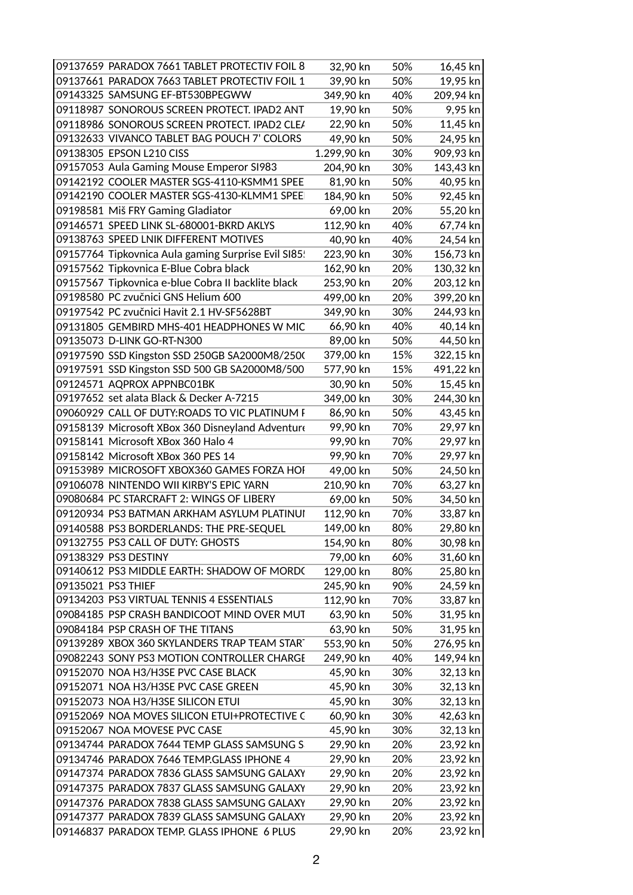| 09137659 PARADOX 7661 TABLET PROTECTIV FOIL 8       | 32,90 kn    | 50% | 16,45 kn  |
|-----------------------------------------------------|-------------|-----|-----------|
| 09137661 PARADOX 7663 TABLET PROTECTIV FOIL 1       | 39,90 kn    | 50% | 19,95 kn  |
| 09143325 SAMSUNG EF-BT530BPEGWW                     | 349,90 kn   | 40% | 209,94 kn |
| 09118987 SONOROUS SCREEN PROTECT. IPAD2 ANT         | 19,90 kn    | 50% | 9,95 kn   |
| 09118986 SONOROUS SCREEN PROTECT. IPAD2 CLEA        | 22,90 kn    | 50% | 11,45 kn  |
| 09132633 VIVANCO TABLET BAG POUCH 7' COLORS         | 49,90 kn    | 50% | 24,95 kn  |
| 09138305 EPSON L210 CISS                            | 1.299,90 kn | 30% | 909,93 kn |
| 09157053 Aula Gaming Mouse Emperor SI983            | 204,90 kn   | 30% | 143,43 kn |
| 09142192 COOLER MASTER SGS-4110-KSMM1 SPEE          | 81,90 kn    | 50% | 40,95 kn  |
| 09142190 COOLER MASTER SGS-4130-KLMM1 SPEE          | 184,90 kn   | 50% | 92,45 kn  |
| 09198581 Miš FRY Gaming Gladiator                   | 69,00 kn    | 20% | 55,20 kn  |
| 09146571 SPEED LINK SL-680001-BKRD AKLYS            | 112,90 kn   | 40% | 67,74 kn  |
| 09138763 SPEED LNIK DIFFERENT MOTIVES               | 40,90 kn    | 40% | 24,54 kn  |
| 09157764 Tipkovnica Aula gaming Surprise Evil SI85! | 223,90 kn   | 30% | 156,73 kn |
| 09157562 Tipkovnica E-Blue Cobra black              | 162,90 kn   | 20% | 130,32 kn |
| 09157567 Tipkovnica e-blue Cobra II backlite black  | 253,90 kn   | 20% | 203,12 kn |
| 09198580 PC zvučnici GNS Helium 600                 | 499,00 kn   | 20% | 399,20 kn |
| 09197542 PC zvučnici Havit 2.1 HV-SF5628BT          | 349,90 kn   | 30% | 244,93 kn |
| 09131805 GEMBIRD MHS-401 HEADPHONES W MIC           | 66,90 kn    | 40% | 40,14 kn  |
| 09135073 D-LINK GO-RT-N300                          | 89,00 kn    | 50% | 44,50 kn  |
| 09197590 SSD Kingston SSD 250GB SA2000M8/2500       | 379,00 kn   | 15% | 322,15 kn |
| 09197591 SSD Kingston SSD 500 GB SA2000M8/500       | 577,90 kn   | 15% | 491,22 kn |
| 09124571 AQPROX APPNBC01BK                          | 30,90 kn    | 50% | 15,45 kn  |
| 09197652 set alata Black & Decker A-7215            | 349,00 kn   | 30% | 244,30 kn |
| 09060929 CALL OF DUTY:ROADS TO VIC PLATINUM F       | 86,90 kn    | 50% | 43,45 kn  |
| 09158139 Microsoft XBox 360 Disneyland Adventure    | 99,90 kn    | 70% | 29,97 kn  |
| 09158141 Microsoft XBox 360 Halo 4                  | 99,90 kn    | 70% | 29,97 kn  |
| 09158142 Microsoft XBox 360 PES 14                  | 99,90 kn    | 70% | 29,97 kn  |
| 09153989 MICROSOFT XBOX360 GAMES FORZA HOI          | 49,00 kn    | 50% | 24,50 kn  |
| 09106078 NINTENDO WII KIRBY'S EPIC YARN             | 210,90 kn   | 70% | 63,27 kn  |
| 09080684 PC STARCRAFT 2: WINGS OF LIBERY            | 69,00 kn    | 50% | 34,50 kn  |
| 09120934 PS3 BATMAN ARKHAM ASYLUM PLATINUI          | 112,90 kn   | 70% | 33,87 kn  |
| 09140588 PS3 BORDERLANDS: THE PRE-SEQUEL            | 149,00 kn   | 80% | 29,80 kn  |
| 09132755 PS3 CALL OF DUTY: GHOSTS                   | 154,90 kn   | 80% | 30,98 kn  |
| 09138329 PS3 DESTINY                                | 79,00 kn    | 60% | 31,60 kn  |
| 09140612 PS3 MIDDLE EARTH: SHADOW OF MORDC          | 129,00 kn   | 80% | 25,80 kn  |
| 09135021 PS3 THIEF                                  | 245,90 kn   | 90% | 24,59 kn  |
| 09134203 PS3 VIRTUAL TENNIS 4 ESSENTIALS            | 112,90 kn   | 70% | 33,87 kn  |
| 09084185 PSP CRASH BANDICOOT MIND OVER MUT          | 63,90 kn    | 50% | 31,95 kn  |
| 09084184 PSP CRASH OF THE TITANS                    | 63,90 kn    | 50% | 31,95 kn  |
| 09139289 XBOX 360 SKYLANDERS TRAP TEAM START        | 553,90 kn   | 50% | 276,95 kn |
| 09082243 SONY PS3 MOTION CONTROLLER CHARGE          | 249,90 kn   | 40% | 149,94 kn |
| 09152070 NOA H3/H3SE PVC CASE BLACK                 | 45,90 kn    | 30% | 32,13 kn  |
| 09152071 NOA H3/H3SE PVC CASE GREEN                 | 45,90 kn    | 30% | 32,13 kn  |
| 09152073 NOA H3/H3SE SILICON ETUI                   | 45,90 kn    | 30% | 32,13 kn  |
| 09152069 NOA MOVES SILICON ETUI+PROTECTIVE C        | 60,90 kn    | 30% | 42,63 kn  |
| 09152067 NOA MOVESE PVC CASE                        | 45,90 kn    | 30% | 32,13 kn  |
| 09134744 PARADOX 7644 TEMP GLASS SAMSUNG S          | 29,90 kn    | 20% | 23,92 kn  |
| 09134746 PARADOX 7646 TEMP.GLASS IPHONE 4           | 29,90 kn    | 20% | 23,92 kn  |
| 09147374 PARADOX 7836 GLASS SAMSUNG GALAXY          | 29,90 kn    | 20% | 23,92 kn  |
| 09147375 PARADOX 7837 GLASS SAMSUNG GALAXY          | 29,90 kn    | 20% | 23,92 kn  |
| 09147376 PARADOX 7838 GLASS SAMSUNG GALAXY          | 29,90 kn    | 20% | 23,92 kn  |
| 09147377 PARADOX 7839 GLASS SAMSUNG GALAXY          | 29,90 kn    | 20% | 23,92 kn  |
| 09146837 PARADOX TEMP. GLASS IPHONE 6 PLUS          | 29,90 kn    | 20% | 23,92 kn  |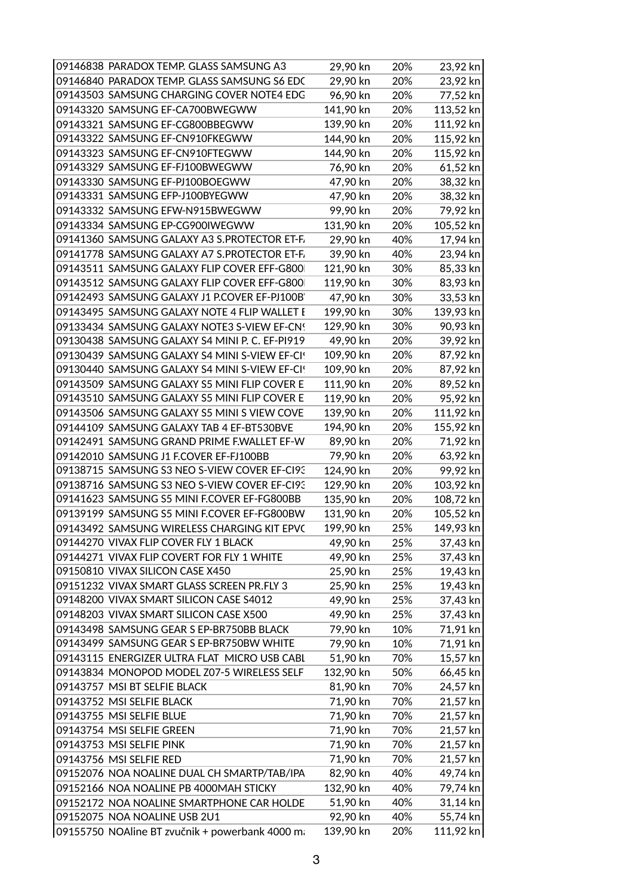| 09146838 PARADOX TEMP. GLASS SAMSUNG A3         | 29,90 kn  | 20% | 23,92 kn               |
|-------------------------------------------------|-----------|-----|------------------------|
| 09146840 PARADOX TEMP. GLASS SAMSUNG S6 EDC     | 29,90 kn  | 20% | 23,92 kn               |
| 09143503 SAMSUNG CHARGING COVER NOTE4 EDG       | 96,90 kn  | 20% | 77,52 kn               |
| 09143320 SAMSUNG EF-CA700BWEGWW                 | 141,90 kn | 20% | 113,52 kn              |
| 09143321 SAMSUNG EF-CG800BBEGWW                 | 139,90 kn | 20% | 111,92 kn              |
| 09143322 SAMSUNG EF-CN910FKEGWW                 | 144,90 kn | 20% | 115,92 kn              |
| 09143323 SAMSUNG EF-CN910FTEGWW                 | 144,90 kn | 20% | 115,92 kn              |
| 09143329 SAMSUNG EF-FJ100BWEGWW                 | 76,90 kn  | 20% | 61,52 kn               |
| 09143330 SAMSUNG EF-PJ100BOEGWW                 | 47,90 kn  | 20% | 38,32 kn               |
| 09143331 SAMSUNG EFP-J100BYEGWW                 | 47,90 kn  | 20% | 38,32 kn               |
| 09143332 SAMSUNG EFW-N915BWEGWW                 | 99,90 kn  | 20% | 79,92 kn               |
| 09143334 SAMSUNG EP-CG900IWEGWW                 | 131,90 kn | 20% | 105,52 kn              |
| 09141360 SAMSUNG GALAXY A3 S.PROTECTOR ET-F.    | 29,90 kn  | 40% | 17,94 kn               |
| 09141778 SAMSUNG GALAXY A7 S.PROTECTOR ET-F.    | 39,90 kn  | 40% | 23,94 kn               |
| 09143511 SAMSUNG GALAXY FLIP COVER EFF-G800     | 121,90 kn | 30% | 85,33 kn               |
| 09143512 SAMSUNG GALAXY FLIP COVER EFF-G800     | 119,90 kn | 30% | 83,93 kn               |
| 09142493 SAMSUNG GALAXY J1 P.COVER EF-PJ100B'   | 47,90 kn  | 30% | 33,53 kn               |
| 09143495 SAMSUNG GALAXY NOTE 4 FLIP WALLET E    | 199,90 kn | 30% | 139,93 kn              |
| 09133434 SAMSUNG GALAXY NOTE3 S-VIEW EF-CNS     | 129,90 kn | 30% | 90,93 kn               |
| 09130438 SAMSUNG GALAXY S4 MINI P. C. EF-PI919  | 49,90 kn  | 20% | 39,92 kn               |
| 09130439 SAMSUNG GALAXY S4 MINI S-VIEW EF-CIS   | 109,90 kn | 20% | 87,92 kn               |
| 09130440 SAMSUNG GALAXY S4 MINI S-VIEW EF-CIS   | 109,90 kn | 20% | 87,92 kn               |
| 09143509 SAMSUNG GALAXY S5 MINI FLIP COVER E    | 111,90 kn | 20% | 89,52 kn               |
| 09143510 SAMSUNG GALAXY S5 MINI FLIP COVER E    | 119,90 kn | 20% | 95,92 kn               |
| 09143506 SAMSUNG GALAXY S5 MINI S VIEW COVE     | 139,90 kn | 20% | 111,92 kn              |
| 09144109 SAMSUNG GALAXY TAB 4 EF-BT530BVE       | 194,90 kn | 20% | 155,92 kn              |
| 09142491 SAMSUNG GRAND PRIME F.WALLET EF-W      | 89,90 kn  | 20% | 71,92 kn               |
| 09142010 SAMSUNG J1 F.COVER EF-FJ100BB          | 79,90 kn  | 20% | 63,92 kn               |
| 09138715 SAMSUNG S3 NEO S-VIEW COVER EF-CI93    | 124,90 kn | 20% |                        |
| 09138716 SAMSUNG S3 NEO S-VIEW COVER EF-CI93    | 129,90 kn | 20% | 99,92 kn               |
| 09141623 SAMSUNG S5 MINI F.COVER EF-FG800BB     | 135,90 kn |     | 103,92 kn<br>108,72 kn |
| 09139199 SAMSUNG S5 MINI F.COVER EF-FG800BW     |           | 20% | 105,52 kn              |
|                                                 | 131,90 kn | 20% |                        |
| 09143492 SAMSUNG WIRELESS CHARGING KIT EPVC     | 199,90 kn | 25% | 149,93 kn              |
| 09144270 VIVAX FLIP COVER FLY 1 BLACK           | 49,90 kn  | 25% | 37,43 kn               |
| 09144271 VIVAX FLIP COVERT FOR FLY 1 WHITE      | 49,90 kn  | 25% | 37,43 kn               |
| 09150810 VIVAX SILICON CASE X450                | 25,90 kn  | 25% | 19,43 kn               |
| 09151232 VIVAX SMART GLASS SCREEN PR.FLY 3      | 25,90 kn  | 25% | 19,43 kn               |
| 09148200 VIVAX SMART SILICON CASE S4012         | 49,90 kn  | 25% | 37,43 kn               |
| 09148203 VIVAX SMART SILICON CASE X500          | 49,90 kn  | 25% | 37,43 kn               |
| 09143498 SAMSUNG GEAR S EP-BR750BB BLACK        | 79,90 kn  | 10% | 71,91 kn               |
| 09143499 SAMSUNG GEAR S EP-BR750BW WHITE        | 79,90 kn  | 10% | 71,91 kn               |
| 09143115 ENERGIZER ULTRA FLAT MICRO USB CABL    | 51,90 kn  | 70% | 15,57 kn               |
| 09143834 MONOPOD MODEL Z07-5 WIRELESS SELFI     | 132,90 kn | 50% | 66,45 kn               |
| 09143757 MSI BT SELFIE BLACK                    | 81,90 kn  | 70% | 24,57 kn               |
| 09143752 MSI SELFIE BLACK                       | 71,90 kn  | 70% | 21,57 kn               |
| 09143755 MSI SELFIE BLUE                        | 71,90 kn  | 70% | 21,57 kn               |
| 09143754 MSI SELFIE GREEN                       | 71,90 kn  | 70% | 21,57 kn               |
| 09143753 MSI SELFIE PINK                        | 71,90 kn  | 70% | 21,57 kn               |
| 09143756 MSI SELFIE RED                         | 71,90 kn  | 70% | 21,57 kn               |
| 09152076 NOA NOALINE DUAL CH SMARTP/TAB/IPA     | 82,90 kn  | 40% | 49,74 kn               |
| 09152166 NOA NOALINE PB 4000MAH STICKY          | 132,90 kn | 40% | 79,74 kn               |
| 09152172 NOA NOALINE SMARTPHONE CAR HOLDE       | 51,90 kn  | 40% | 31,14 kn               |
| 09152075 NOA NOALINE USB 2U1                    | 92,90 kn  | 40% | 55,74 kn               |
| 09155750 NOAline BT zvučnik + powerbank 4000 m; | 139,90 kn | 20% | 111,92 kn              |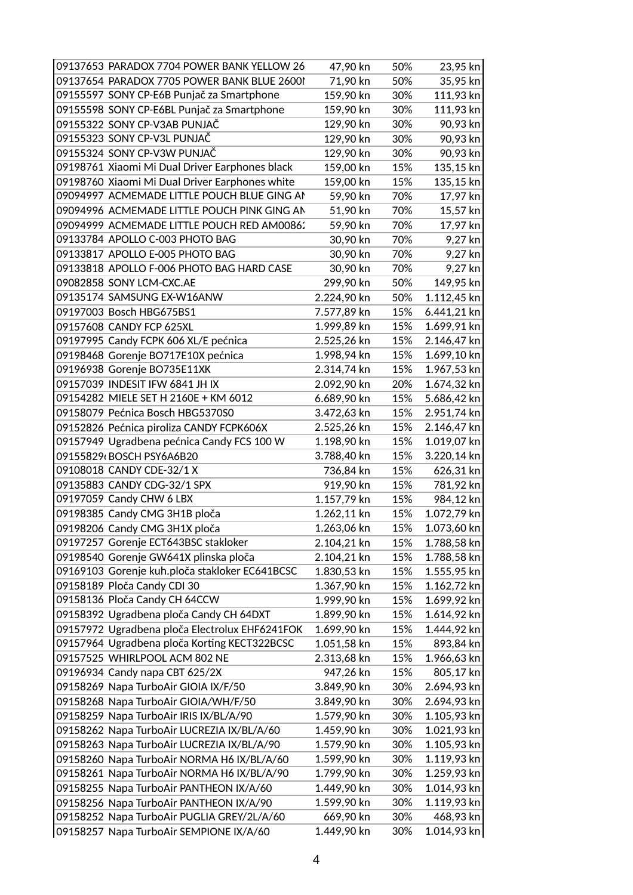| 09137653 PARADOX 7704 POWER BANK YELLOW 26     | 47,90 kn    | 50% | 23,95 kn    |
|------------------------------------------------|-------------|-----|-------------|
| 09137654 PARADOX 7705 POWER BANK BLUE 2600I    | 71,90 kn    | 50% | 35,95 kn    |
| 09155597 SONY CP-E6B Punjač za Smartphone      | 159,90 kn   | 30% | 111,93 kn   |
| 09155598 SONY CP-E6BL Punjač za Smartphone     | 159,90 kn   | 30% | 111,93 kn   |
| 09155322 SONY CP-V3AB PUNJAČ                   | 129,90 kn   | 30% | 90,93 kn    |
| 09155323 SONY CP-V3L PUNJAČ                    | 129,90 kn   | 30% | 90,93 kn    |
| 09155324 SONY CP-V3W PUNJAČ                    | 129,90 kn   | 30% | 90,93 kn    |
| 09198761 Xiaomi Mi Dual Driver Earphones black | 159,00 kn   | 15% | 135,15 kn   |
| 09198760 Xiaomi Mi Dual Driver Earphones white | 159,00 kn   | 15% | 135,15 kn   |
| 09094997 ACMEMADE LITTLE POUCH BLUE GING AN    | 59,90 kn    | 70% | 17,97 kn    |
| 09094996 ACMEMADE LITTLE POUCH PINK GING AN    | 51,90 kn    | 70% | 15,57 kn    |
| 09094999 ACMEMADE LITTLE POUCH RED AM00862     | 59,90 kn    | 70% | 17,97 kn    |
| 09133784 APOLLO C-003 PHOTO BAG                | 30,90 kn    | 70% | 9,27 kn     |
| 09133817 APOLLO E-005 PHOTO BAG                | 30,90 kn    | 70% | 9,27 kn     |
| 09133818 APOLLO F-006 PHOTO BAG HARD CASE      | 30,90 kn    | 70% | 9,27 kn     |
| 09082858 SONY LCM-CXC.AE                       | 299,90 kn   | 50% | 149,95 kn   |
| 09135174 SAMSUNG EX-W16ANW                     | 2.224,90 kn | 50% | 1.112,45 kn |
| 09197003 Bosch HBG675BS1                       | 7.577,89 kn | 15% | 6.441,21 kn |
| 09157608 CANDY FCP 625XL                       | 1.999,89 kn | 15% | 1.699,91 kn |
| 09197995 Candy FCPK 606 XL/E pećnica           | 2.525,26 kn | 15% | 2.146,47 kn |
| 09198468 Gorenje BO717E10X pećnica             | 1.998,94 kn | 15% | 1.699,10 kn |
| 09196938 Gorenje BO735E11XK                    | 2.314,74 kn | 15% | 1.967,53 kn |
| 09157039 INDESIT IFW 6841 JH IX                | 2.092,90 kn | 20% | 1.674,32 kn |
| 09154282 MIELE SET H 2160E + KM 6012           | 6.689,90 kn | 15% | 5.686,42 kn |
| 09158079 Pećnica Bosch HBG5370S0               | 3.472,63 kn | 15% | 2.951,74 kn |
| 09152826 Pećnica piroliza CANDY FCPK606X       | 2.525,26 kn | 15% | 2.146,47 kn |
| 09157949 Ugradbena pećnica Candy FCS 100 W     | 1.198,90 kn | 15% | 1.019,07 kn |
| 09155829 BOSCH PSY6A6B20                       | 3.788,40 kn | 15% | 3.220,14 kn |
| 09108018 CANDY CDE-32/1 X                      | 736,84 kn   | 15% | 626,31 kn   |
| 09135883 CANDY CDG-32/1 SPX                    | 919,90 kn   | 15% | 781,92 kn   |
| 09197059 Candy CHW 6 LBX                       | 1.157,79 kn | 15% | 984,12 kn   |
| 09198385 Candy CMG 3H1B ploča                  | 1.262,11 kn | 15% | 1.072,79 kn |
| 09198206 Candy CMG 3H1X ploča                  | 1.263,06 kn | 15% | 1.073,60 kn |
| 09197257 Gorenje ECT643BSC stakloker           | 2.104,21 kn | 15% | 1.788,58 kn |
| 09198540 Gorenje GW641X plinska ploča          | 2.104,21 kn | 15% | 1.788,58 kn |
| 09169103 Gorenje kuh.ploča stakloker EC641BCSC | 1.830,53 kn | 15% | 1.555,95 kn |
| 09158189 Ploča Candy CDI 30                    | 1.367,90 kn | 15% | 1.162,72 kn |
| 09158136 Ploča Candy CH 64CCW                  | 1.999,90 kn | 15% | 1.699,92 kn |
| 09158392 Ugradbena ploča Candy CH 64DXT        | 1.899,90 kn | 15% | 1.614,92 kn |
| 09157972 Ugradbena ploča Electrolux EHF6241FOK | 1.699,90 kn | 15% | 1.444,92 kn |
| 09157964 Ugradbena ploča Korting KECT322BCSC   | 1.051,58 kn | 15% | 893,84 kn   |
| 09157525 WHIRLPOOL ACM 802 NE                  | 2.313,68 kn | 15% | 1.966,63 kn |
| 09196934 Candy napa CBT 625/2X                 | 947,26 kn   | 15% | 805,17 kn   |
| 09158269 Napa TurboAir GIOIA IX/F/50           | 3.849,90 kn | 30% | 2.694,93 kn |
| 09158268 Napa TurboAir GIOIA/WH/F/50           | 3.849,90 kn | 30% | 2.694,93 kn |
| 09158259 Napa TurboAir IRIS IX/BL/A/90         | 1.579,90 kn | 30% | 1.105,93 kn |
| 09158262 Napa TurboAir LUCREZIA IX/BL/A/60     | 1.459,90 kn | 30% | 1.021,93 kn |
| 09158263 Napa TurboAir LUCREZIA IX/BL/A/90     | 1.579,90 kn | 30% | 1.105,93 kn |
| 09158260 Napa TurboAir NORMA H6 IX/BL/A/60     | 1.599,90 kn | 30% | 1.119,93 kn |
| 09158261 Napa TurboAir NORMA H6 IX/BL/A/90     | 1.799,90 kn | 30% | 1.259,93 kn |
| 09158255 Napa TurboAir PANTHEON IX/A/60        | 1.449,90 kn | 30% | 1.014,93 kn |
| 09158256 Napa TurboAir PANTHEON IX/A/90        | 1.599,90 kn | 30% | 1.119,93 kn |
| 09158252 Napa TurboAir PUGLIA GREY/2L/A/60     | 669,90 kn   | 30% | 468,93 kn   |
| 09158257 Napa TurboAir SEMPIONE IX/A/60        | 1.449,90 kn | 30% | 1.014,93 kn |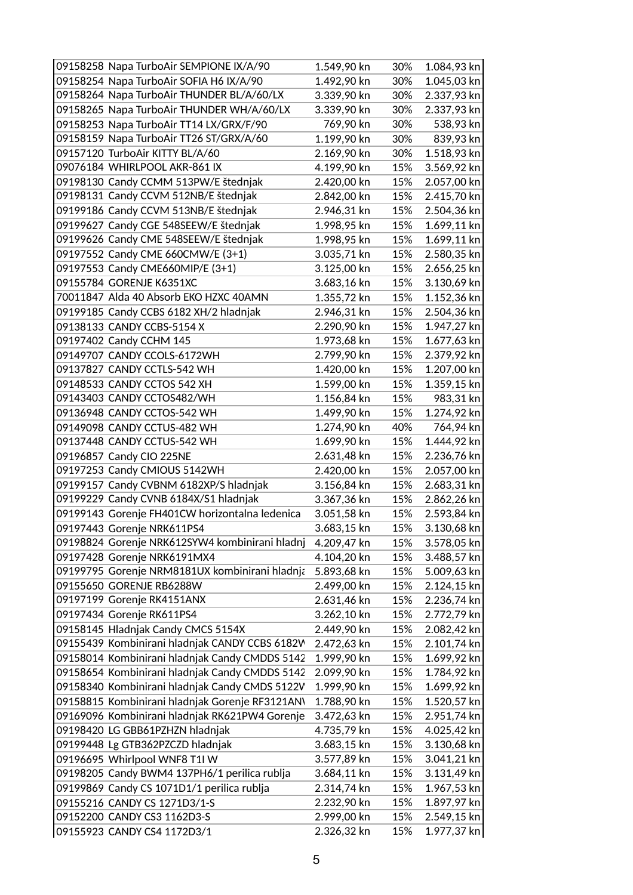| 09158258 Napa TurboAir SEMPIONE IX/A/90         | 1.549,90 kn | 30% | 1.084,93 kn |
|-------------------------------------------------|-------------|-----|-------------|
| 09158254 Napa TurboAir SOFIA H6 IX/A/90         | 1.492,90 kn | 30% | 1.045,03 kn |
| 09158264 Napa TurboAir THUNDER BL/A/60/LX       | 3.339,90 kn | 30% | 2.337,93 kn |
| 09158265 Napa TurboAir THUNDER WH/A/60/LX       | 3.339,90 kn | 30% | 2.337,93 kn |
| 09158253 Napa TurboAir TT14 LX/GRX/F/90         | 769,90 kn   | 30% | 538,93 kn   |
| 09158159 Napa TurboAir TT26 ST/GRX/A/60         | 1.199,90 kn | 30% | 839,93 kn   |
| 09157120 TurboAir KITTY BL/A/60                 | 2.169,90 kn | 30% | 1.518,93 kn |
| 09076184 WHIRLPOOL AKR-861 IX                   | 4.199,90 kn | 15% | 3.569,92 kn |
| 09198130 Candy CCMM 513PW/E štednjak            | 2.420,00 kn | 15% | 2.057,00 kn |
| 09198131 Candy CCVM 512NB/E štednjak            | 2.842,00 kn | 15% | 2.415,70 kn |
| 09199186 Candy CCVM 513NB/E štednjak            | 2.946,31 kn | 15% | 2.504,36 kn |
| 09199627 Candy CGE 548SEEW/E štednjak           | 1.998,95 kn | 15% | 1.699,11 kn |
| 09199626 Candy CME 548SEEW/E štednjak           | 1.998,95 kn | 15% | 1.699,11 kn |
| 09197552 Candy CME 660CMW/E (3+1)               | 3.035,71 kn | 15% | 2.580,35 kn |
| 09197553 Candy CME660MIP/E (3+1)                | 3.125,00 kn | 15% | 2.656,25 kn |
| 09155784 GORENJE K6351XC                        | 3.683,16 kn | 15% | 3.130,69 kn |
| 70011847 Alda 40 Absorb EKO HZXC 40AMN          | 1.355,72 kn | 15% | 1.152,36 kn |
| 09199185 Candy CCBS 6182 XH/2 hladnjak          | 2.946,31 kn | 15% | 2.504,36 kn |
| 09138133 CANDY CCBS-5154 X                      | 2.290,90 kn | 15% | 1.947,27 kn |
| 09197402 Candy CCHM 145                         | 1.973,68 kn | 15% | 1.677,63 kn |
| 09149707 CANDY CCOLS-6172WH                     | 2.799,90 kn | 15% | 2.379,92 kn |
| 09137827 CANDY CCTLS-542 WH                     | 1.420,00 kn | 15% | 1.207,00 kn |
| 09148533 CANDY CCTOS 542 XH                     | 1.599,00 kn | 15% | 1.359,15 kn |
| 09143403 CANDY CCTOS482/WH                      | 1.156,84 kn | 15% | 983,31 kn   |
| 09136948 CANDY CCTOS-542 WH                     | 1.499,90 kn | 15% | 1.274,92 kn |
| 09149098 CANDY CCTUS-482 WH                     | 1.274,90 kn | 40% | 764,94 kn   |
| 09137448 CANDY CCTUS-542 WH                     | 1.699,90 kn | 15% | 1.444,92 kn |
| 09196857 Candy CIO 225NE                        | 2.631,48 kn | 15% | 2.236,76 kn |
| 09197253 Candy CMIOUS 5142WH                    | 2.420,00 kn | 15% | 2.057,00 kn |
| 09199157 Candy CVBNM 6182XP/S hladnjak          | 3.156,84 kn | 15% | 2.683,31 kn |
| 09199229 Candy CVNB 6184X/S1 hladnjak           | 3.367,36 kn | 15% | 2.862,26 kn |
| 09199143 Gorenje FH401CW horizontalna ledenica  | 3.051,58 kn | 15% | 2.593,84 kn |
| 09197443 Gorenje NRK611PS4                      | 3.683,15 kn | 15% | 3.130,68 kn |
| 09198824 Gorenje NRK612SYW4 kombinirani hladnj  | 4.209,47 kn | 15% | 3.578,05 kn |
| 09197428 Gorenje NRK6191MX4                     | 4.104,20 kn | 15% | 3.488,57 kn |
| 09199795 Gorenje NRM8181UX kombinirani hladnja  | 5.893,68 kn | 15% | 5.009,63 kn |
| 09155650 GORENJE RB6288W                        | 2.499,00 kn | 15% | 2.124,15 kn |
| 09197199 Gorenje RK4151ANX                      | 2.631,46 kn | 15% | 2.236,74 kn |
| 09197434 Gorenje RK611PS4                       | 3.262,10 kn | 15% | 2.772,79 kn |
| 09158145 Hladnjak Candy CMCS 5154X              | 2.449,90 kn | 15% | 2.082,42 kn |
| 09155439 Kombinirani hladnjak CANDY CCBS 6182W  | 2.472,63 kn | 15% | 2.101,74 kn |
| 09158014 Kombinirani hladnjak Candy CMDDS 5142  | 1.999,90 kn | 15% | 1.699,92 kn |
| 09158654 Kombinirani hladnjak Candy CMDDS 5142  | 2.099,90 kn | 15% | 1.784,92 kn |
| 09158340 Kombinirani hladnjak Candy CMDS 5122V  | 1.999,90 kn | 15% | 1.699,92 kn |
| 09158815 Kombinirani hladnjak Gorenje RF3121AN\ | 1.788,90 kn | 15% | 1.520,57 kn |
| 09169096 Kombinirani hladnjak RK621PW4 Gorenje  | 3.472,63 kn | 15% | 2.951,74 kn |
| 09198420 LG GBB61PZHZN hladnjak                 | 4.735,79 kn | 15% | 4.025,42 kn |
| 09199448 Lg GTB362PZCZD hladnjak                | 3.683,15 kn | 15% | 3.130,68 kn |
| 09196695 Whirlpool WNF8 T1I W                   | 3.577,89 kn | 15% | 3.041,21 kn |
| 09198205 Candy BWM4 137PH6/1 perilica rublja    | 3.684,11 kn | 15% | 3.131,49 kn |
| 09199869 Candy CS 1071D1/1 perilica rublja      | 2.314,74 kn | 15% | 1.967,53 kn |
| 09155216 CANDY CS 1271D3/1-S                    | 2.232,90 kn | 15% | 1.897,97 kn |
| 09152200 CANDY CS3 1162D3-S                     | 2.999,00 kn | 15% | 2.549,15 kn |
| 09155923 CANDY CS4 1172D3/1                     | 2.326,32 kn | 15% | 1.977,37 kn |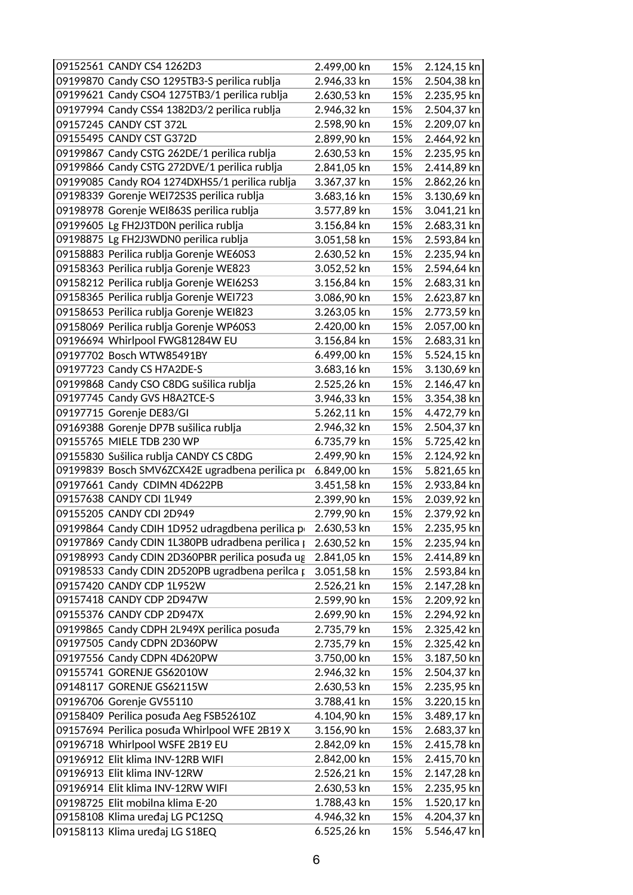| 09152561 CANDY CS4 1262D3                                           | 2.499,00 kn                | 15%        | 2.124,15 kn                |
|---------------------------------------------------------------------|----------------------------|------------|----------------------------|
| 09199870 Candy CSO 1295TB3-S perilica rublja                        | 2.946,33 kn                | 15%        | 2.504,38 kn                |
| 09199621 Candy CSO4 1275TB3/1 perilica rublja                       | 2.630,53 kn                | 15%        | 2.235,95 kn                |
| 09197994 Candy CSS4 1382D3/2 perilica rublja                        | 2.946,32 kn                | 15%        | 2.504,37 kn                |
| 09157245 CANDY CST 372L                                             | 2.598,90 kn                | 15%        | 2.209,07 kn                |
| 09155495 CANDY CST G372D                                            | 2.899,90 kn                | 15%        | 2.464,92 kn                |
| 09199867 Candy CSTG 262DE/1 perilica rublja                         | 2.630,53 kn                | 15%        | 2.235,95 kn                |
| 09199866 Candy CSTG 272DVE/1 perilica rublja                        | 2.841,05 kn                | 15%        | 2.414,89 kn                |
| 09199085 Candy RO4 1274DXHS5/1 perilica rublja                      | 3.367,37 kn                | 15%        | 2.862,26 kn                |
| 09198339 Gorenje WEI72S3S perilica rublja                           | 3.683,16 kn                | 15%        | 3.130,69 kn                |
| 09198978 Gorenje WEI863S perilica rublja                            | 3.577,89 kn                | 15%        | 3.041,21 kn                |
| 09199605 Lg FH2J3TD0N perilica rublja                               | 3.156,84 kn                | 15%        | 2.683,31 kn                |
| 09198875 Lg FH2J3WDN0 perilica rublja                               | 3.051,58 kn                | 15%        | 2.593,84 kn                |
| 09158883 Perilica rublja Gorenje WE60S3                             | 2.630,52 kn                | 15%        | 2.235,94 kn                |
| 09158363 Perilica rublja Gorenje WE823                              | 3.052,52 kn                | 15%        | 2.594,64 kn                |
| 09158212 Perilica rublja Gorenje WEI62S3                            | 3.156,84 kn                | 15%        | 2.683,31 kn                |
| 09158365 Perilica rublja Gorenje WEI723                             | 3.086,90 kn                | 15%        | 2.623,87 kn                |
| 09158653 Perilica rublja Gorenje WEI823                             | 3.263,05 kn                | 15%        | 2.773,59 kn                |
| 09158069 Perilica rublja Gorenje WP60S3                             | 2.420,00 kn                | 15%        | 2.057,00 kn                |
| 09196694 Whirlpool FWG81284W EU                                     | 3.156,84 kn                | 15%        | 2.683,31 kn                |
| 09197702 Bosch WTW85491BY                                           | 6.499,00 kn                | 15%        | 5.524,15 kn                |
| 09197723 Candy CS H7A2DE-S                                          | 3.683,16 kn                | 15%        | 3.130,69 kn                |
| 09199868 Candy CSO C8DG sušilica rublja                             | 2.525,26 kn                | 15%        | 2.146,47 kn                |
| 09197745 Candy GVS H8A2TCE-S                                        | 3.946,33 kn                | 15%        | 3.354,38 kn                |
| 09197715 Gorenje DE83/GI                                            | 5.262,11 kn                | 15%        | 4.472,79 kn                |
| 09169388 Gorenje DP7B sušilica rublja                               | 2.946,32 kn                | 15%        | 2.504,37 kn                |
| 09155765 MIELE TDB 230 WP                                           | 6.735,79 kn                | 15%        | 5.725,42 kn                |
| 09155830 Sušilica rublja CANDY CS C8DG                              | 2.499,90 kn                | 15%        | 2.124,92 kn                |
| 09199839 Bosch SMV6ZCX42E ugradbena perilica po                     | 6.849,00 kn                | 15%        | 5.821,65 kn                |
| 09197661 Candy CDIMN 4D622PB                                        | 3.451,58 kn                | 15%        | 2.933,84 kn                |
| 09157638 CANDY CDI 1L949                                            | 2.399,90 kn                | 15%        | 2.039,92 kn                |
| 09155205 CANDY CDI 2D949                                            | 2.799,90 kn                | 15%        | 2.379,92 kn                |
| 09199864 Candy CDIH 1D952 udragdbena perilica po                    | 2.630,53 kn                | 15%        | 2.235,95 kn                |
| 09197869 Candy CDIN 1L380PB udradbena perilica p                    | 2.630,52 kn                | 15%        | 2.235,94 kn                |
| 09198993 Candy CDIN 2D360PBR perilica posuđa ug                     | 2.841,05 kn                | 15%        | 2.414,89 kn                |
| 09198533 Candy CDIN 2D520PB ugradbena perilca p                     | 3.051,58 kn                | 15%        | 2.593,84 kn                |
| 09157420 CANDY CDP 1L952W                                           | 2.526,21 kn                | 15%        | 2.147,28 kn                |
| 09157418 CANDY CDP 2D947W                                           | 2.599,90 kn                | 15%        | 2.209,92 kn                |
| 09155376 CANDY CDP 2D947X                                           | 2.699,90 kn                | 15%        | 2.294,92 kn                |
| 09199865 Candy CDPH 2L949X perilica posuda                          | 2.735,79 kn                | 15%        | 2.325,42 kn                |
| 09197505 Candy CDPN 2D360PW                                         | 2.735,79 kn                | 15%        | 2.325,42 kn                |
| 09197556 Candy CDPN 4D620PW                                         | 3.750,00 kn                | 15%        | 3.187,50 kn                |
| 09155741 GORENJE GS62010W                                           | 2.946,32 kn                | 15%        | 2.504,37 kn                |
| 09148117 GORENJE GS62115W                                           | 2.630,53 kn                | 15%        | 2.235,95 kn                |
| 09196706 Gorenje GV55110                                            | 3.788,41 kn                | 15%        | 3.220,15 kn                |
| 09158409 Perilica posuda Aeg FSB52610Z                              | 4.104,90 kn                | 15%        | 3.489,17 kn                |
| 09157694 Perilica posuda Whirlpool WFE 2B19 X                       | 3.156,90 kn                | 15%        | 2.683,37 kn                |
| 09196718 Whirlpool WSFE 2B19 EU                                     | 2.842,09 kn                | 15%        | 2.415,78 kn                |
| 09196912 Elit klima INV-12RB WIFI                                   | 2.842,00 kn                | 15%        | 2.415,70 kn                |
| 09196913 Elit klima INV-12RW                                        | 2.526,21 kn                | 15%        | 2.147,28 kn                |
| 09196914 Elit klima INV-12RW WIFI                                   | 2.630,53 kn                | 15%        | 2.235,95 kn                |
| 09198725 Elit mobilna klima E-20<br>09158108 Klima uređaj LG PC12SQ | 1.788,43 kn<br>4.946,32 kn | 15%<br>15% | 1.520,17 kn<br>4.204,37 kn |
| 09158113 Klima uređaj LG S18EQ                                      | 6.525,26 kn                | 15%        | 5.546,47 kn                |
|                                                                     |                            |            |                            |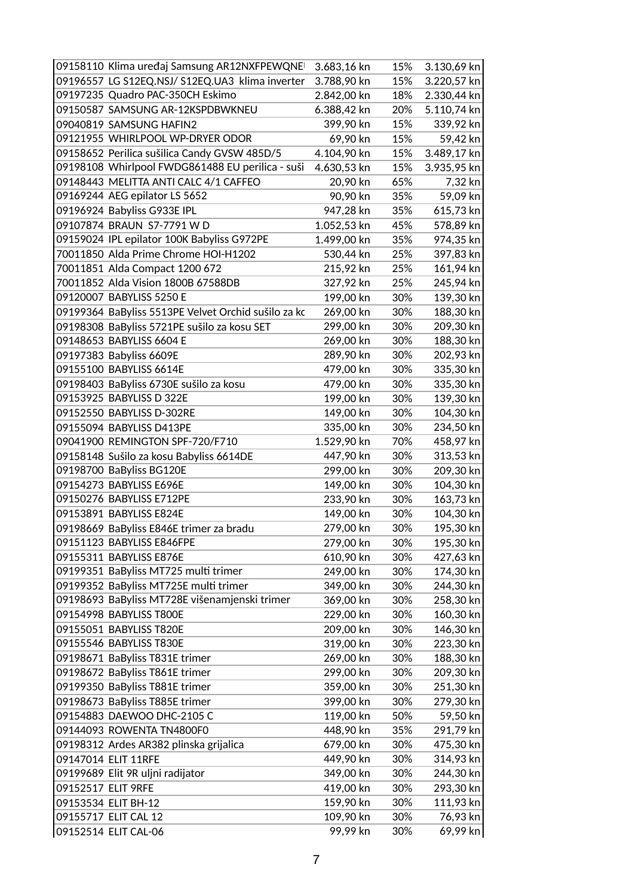| 09158110 Klima uređaj Samsung AR12NXFPEWQNE         | 3.683,16 kn | 15% | 3.130,69 kn |
|-----------------------------------------------------|-------------|-----|-------------|
| 09196557 LG S12EQ.NSJ/ S12EQ.UA3 klima inverter     | 3.788,90 kn | 15% | 3.220,57 kn |
| 09197235 Quadro PAC-350CH Eskimo                    | 2.842,00 kn | 18% | 2.330,44 kn |
| 09150587 SAMSUNG AR-12KSPDBWKNEU                    | 6.388,42 kn | 20% | 5.110,74 kn |
| 09040819 SAMSUNG HAFIN2                             | 399,90 kn   | 15% | 339,92 kn   |
| 09121955 WHIRLPOOL WP-DRYER ODOR                    | 69,90 kn    | 15% | 59,42 kn    |
| 09158652 Perilica sušilica Candy GVSW 485D/5        | 4.104,90 kn | 15% | 3.489,17 kn |
| 09198108 Whirlpool FWDG861488 EU perilica - suši    | 4.630,53 kn | 15% | 3.935,95 kn |
| 09148443 MELITTA ANTI CALC 4/1 CAFFEO               | 20,90 kn    | 65% | 7,32 kn     |
| 09169244 AEG epilator LS 5652                       | 90,90 kn    | 35% | 59,09 kn    |
| 09196924 Babyliss G933E IPL                         | 947,28 kn   | 35% | 615,73 kn   |
| 09107874 BRAUN S7-7791 W D                          | 1.052,53 kn | 45% | 578,89 kn   |
| 09159024 IPL epilator 100K Babyliss G972PE          | 1.499,00 kn | 35% | 974,35 kn   |
| 70011850 Alda Prime Chrome HOI-H1202                | 530,44 kn   | 25% | 397,83 kn   |
| 70011851 Alda Compact 1200 672                      | 215,92 kn   | 25% | 161,94 kn   |
| 70011852 Alda Vision 1800B 67588DB                  | 327,92 kn   | 25% | 245,94 kn   |
| 09120007 BABYLISS 5250 E                            | 199,00 kn   | 30% | 139,30 kn   |
| 09199364 BaByliss 5513PE Velvet Orchid sušilo za kc | 269,00 kn   | 30% | 188,30 kn   |
| 09198308 BaByliss 5721PE sušilo za kosu SET         | 299,00 kn   | 30% | 209,30 kn   |
| 09148653 BABYLISS 6604 E                            | 269,00 kn   | 30% | 188,30 kn   |
| 09197383 Babyliss 6609E                             | 289,90 kn   | 30% | 202,93 kn   |
| 09155100 BABYLISS 6614E                             | 479,00 kn   | 30% | 335,30 kn   |
| 09198403 BaByliss 6730E sušilo za kosu              | 479,00 kn   | 30% | 335,30 kn   |
| 09153925 BABYLISS D 322E                            | 199,00 kn   | 30% | 139,30 kn   |
| 09152550 BABYLISS D-302RE                           | 149,00 kn   | 30% | 104,30 kn   |
| 09155094 BABYLISS D413PE                            | 335,00 kn   | 30% | 234,50 kn   |
| 09041900 REMINGTON SPF-720/F710                     | 1.529,90 kn | 70% | 458,97 kn   |
| 09158148 Sušilo za kosu Babyliss 6614DE             | 447,90 kn   | 30% | 313,53 kn   |
| 09198700 BaByliss BG120E                            | 299,00 kn   | 30% | 209,30 kn   |
| 09154273 BABYLISS E696E                             | 149,00 kn   | 30% | 104,30 kn   |
| 09150276 BABYLISS E712PE                            | 233,90 kn   | 30% | 163,73 kn   |
| 09153891 BABYLISS E824E                             | 149,00 kn   | 30% | 104,30 kn   |
| 09198669 BaByliss E846E trimer za bradu             | 279,00 kn   | 30% | 195,30 kn   |
| 09151123 BABYLISS E846FPE                           | 279,00 kn   | 30% | 195,30 kn   |
| 09155311 BABYLISS E876E                             | 610,90 kn   | 30% | 427,63 kn   |
| 09199351 BaByliss MT725 multi trimer                | 249,00 kn   | 30% | 174,30 kn   |
| 09199352 BaByliss MT725E multi trimer               | 349,00 kn   | 30% | 244,30 kn   |
| 09198693 BaByliss MT728E višenamjenski trimer       | 369,00 kn   | 30% | 258,30 kn   |
| 09154998 BABYLISS T800E                             | 229,00 kn   | 30% | 160,30 kn   |
| 09155051 BABYLISS T820E                             | 209,00 kn   | 30% | 146,30 kn   |
| 09155546 BABYLISS T830E                             | 319,00 kn   | 30% | 223,30 kn   |
| 09198671 BaByliss T831E trimer                      | 269,00 kn   | 30% | 188,30 kn   |
| 09198672 BaByliss T861E trimer                      | 299,00 kn   | 30% | 209,30 kn   |
| 09199350 BaByliss T881E trimer                      | 359,00 kn   | 30% | 251,30 kn   |
| 09198673 BaByliss T885E trimer                      | 399,00 kn   | 30% | 279,30 kn   |
| 09154883 DAEWOO DHC-2105 C                          | 119,00 kn   | 50% | 59,50 kn    |
| 09144093 ROWENTA TN4800F0                           | 448,90 kn   | 35% | 291,79 kn   |
| 09198312 Ardes AR382 plinska grijalica              | 679,00 kn   | 30% | 475,30 kn   |
| 09147014 ELIT 11RFE                                 | 449,90 kn   | 30% | 314,93 kn   |
| 09199689 Elit 9R uljni radijator                    | 349,00 kn   | 30% | 244,30 kn   |
| 09152517 ELIT 9RFE                                  | 419,00 kn   | 30% | 293,30 kn   |
| 09153534 ELIT BH-12                                 | 159,90 kn   | 30% | 111,93 kn   |
| 09155717 ELIT CAL 12                                | 109,90 kn   | 30% | 76,93 kn    |
| 09152514 ELIT CAL-06                                | 99,99 kn    | 30% | 69,99 kn    |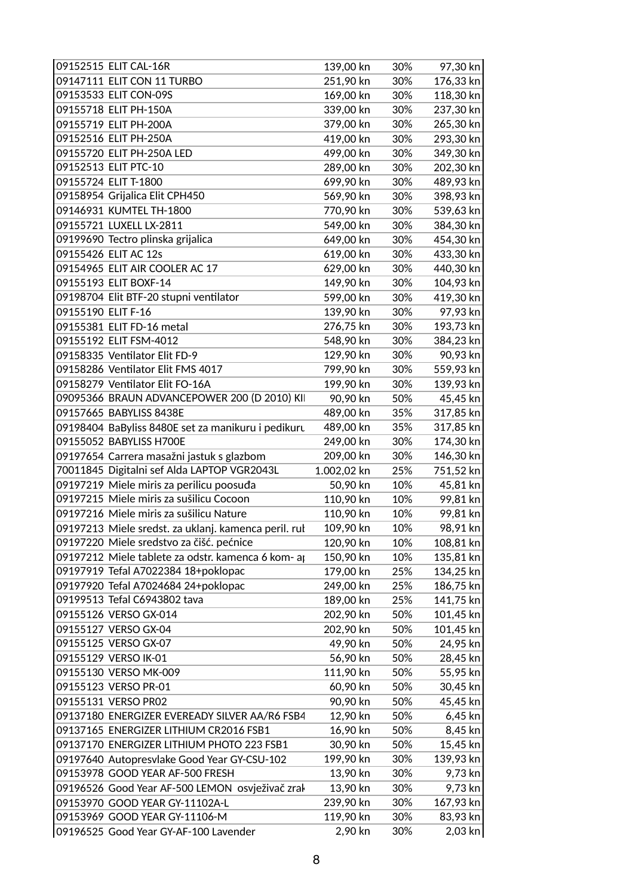| 09147111 ELIT CON 11 TURBO<br>251,90 kn<br>176,33 kn<br>30%<br>09153533 ELIT CON-09S<br>169,00 kn<br>118,30 kn<br>30%<br>09155718 ELIT PH-150A<br>237,30 kn<br>339,00 kn<br>30%<br>379,00 kn<br>30%<br>265,30 kn<br>09155719 ELIT PH-200A<br>09152516 ELIT PH-250A<br>419,00 kn<br>30%<br>293,30 kn<br>09155720 ELIT PH-250A LED<br>499,00 kn<br>30%<br>349,30 kn<br>09152513 ELIT PTC-10<br>289,00 kn<br>30%<br>202,30 kn<br>09155724 ELIT T-1800<br>699,90 kn<br>489,93 kn<br>30%<br>09158954 Grijalica Elit CPH450<br>398,93 kn<br>569,90 kn<br>30%<br>09146931 KUMTEL TH-1800<br>770,90 kn<br>539,63 kn<br>30%<br>09155721 LUXELL LX-2811<br>549,00 kn<br>384,30 kn<br>30%<br>09199690 Tectro plinska grijalica<br>649,00 kn<br>30%<br>454,30 kn<br>09155426 ELIT AC 12s<br>619,00 kn<br>30%<br>433,30 kn<br>09154965 ELIT AIR COOLER AC 17<br>629,00 kn<br>440,30 kn<br>30%<br>09155193 ELIT BOXF-14<br>149,90 kn<br>104,93 kn<br>30%<br>09198704 Elit BTF-20 stupni ventilator<br>419,30 kn<br>599,00 kn<br>30% |
|-----------------------------------------------------------------------------------------------------------------------------------------------------------------------------------------------------------------------------------------------------------------------------------------------------------------------------------------------------------------------------------------------------------------------------------------------------------------------------------------------------------------------------------------------------------------------------------------------------------------------------------------------------------------------------------------------------------------------------------------------------------------------------------------------------------------------------------------------------------------------------------------------------------------------------------------------------------------------------------------------------------------------|
|                                                                                                                                                                                                                                                                                                                                                                                                                                                                                                                                                                                                                                                                                                                                                                                                                                                                                                                                                                                                                       |
|                                                                                                                                                                                                                                                                                                                                                                                                                                                                                                                                                                                                                                                                                                                                                                                                                                                                                                                                                                                                                       |
|                                                                                                                                                                                                                                                                                                                                                                                                                                                                                                                                                                                                                                                                                                                                                                                                                                                                                                                                                                                                                       |
|                                                                                                                                                                                                                                                                                                                                                                                                                                                                                                                                                                                                                                                                                                                                                                                                                                                                                                                                                                                                                       |
|                                                                                                                                                                                                                                                                                                                                                                                                                                                                                                                                                                                                                                                                                                                                                                                                                                                                                                                                                                                                                       |
|                                                                                                                                                                                                                                                                                                                                                                                                                                                                                                                                                                                                                                                                                                                                                                                                                                                                                                                                                                                                                       |
|                                                                                                                                                                                                                                                                                                                                                                                                                                                                                                                                                                                                                                                                                                                                                                                                                                                                                                                                                                                                                       |
|                                                                                                                                                                                                                                                                                                                                                                                                                                                                                                                                                                                                                                                                                                                                                                                                                                                                                                                                                                                                                       |
|                                                                                                                                                                                                                                                                                                                                                                                                                                                                                                                                                                                                                                                                                                                                                                                                                                                                                                                                                                                                                       |
|                                                                                                                                                                                                                                                                                                                                                                                                                                                                                                                                                                                                                                                                                                                                                                                                                                                                                                                                                                                                                       |
|                                                                                                                                                                                                                                                                                                                                                                                                                                                                                                                                                                                                                                                                                                                                                                                                                                                                                                                                                                                                                       |
|                                                                                                                                                                                                                                                                                                                                                                                                                                                                                                                                                                                                                                                                                                                                                                                                                                                                                                                                                                                                                       |
|                                                                                                                                                                                                                                                                                                                                                                                                                                                                                                                                                                                                                                                                                                                                                                                                                                                                                                                                                                                                                       |
|                                                                                                                                                                                                                                                                                                                                                                                                                                                                                                                                                                                                                                                                                                                                                                                                                                                                                                                                                                                                                       |
|                                                                                                                                                                                                                                                                                                                                                                                                                                                                                                                                                                                                                                                                                                                                                                                                                                                                                                                                                                                                                       |
|                                                                                                                                                                                                                                                                                                                                                                                                                                                                                                                                                                                                                                                                                                                                                                                                                                                                                                                                                                                                                       |
| 09155190 ELIT F-16<br>97,93 kn<br>139,90 kn<br>30%                                                                                                                                                                                                                                                                                                                                                                                                                                                                                                                                                                                                                                                                                                                                                                                                                                                                                                                                                                    |
| 276,75 kn<br>193,73 kn<br>09155381 ELIT FD-16 metal<br>30%                                                                                                                                                                                                                                                                                                                                                                                                                                                                                                                                                                                                                                                                                                                                                                                                                                                                                                                                                            |
| 09155192 ELIT FSM-4012<br>548,90 kn<br>30%<br>384,23 kn                                                                                                                                                                                                                                                                                                                                                                                                                                                                                                                                                                                                                                                                                                                                                                                                                                                                                                                                                               |
| 09158335 Ventilator Elit FD-9<br>129,90 kn<br>30%<br>90,93 kn                                                                                                                                                                                                                                                                                                                                                                                                                                                                                                                                                                                                                                                                                                                                                                                                                                                                                                                                                         |
| 09158286 Ventilator Elit FMS 4017<br>799,90 kn<br>30%<br>559,93 kn                                                                                                                                                                                                                                                                                                                                                                                                                                                                                                                                                                                                                                                                                                                                                                                                                                                                                                                                                    |
| 09158279 Ventilator Elit FO-16A<br>199,90 kn<br>139,93 kn<br>30%                                                                                                                                                                                                                                                                                                                                                                                                                                                                                                                                                                                                                                                                                                                                                                                                                                                                                                                                                      |
| 09095366 BRAUN ADVANCEPOWER 200 (D 2010) KII<br>45,45 kn<br>90,90 kn<br>50%                                                                                                                                                                                                                                                                                                                                                                                                                                                                                                                                                                                                                                                                                                                                                                                                                                                                                                                                           |
| 09157665 BABYLISS 8438E<br>489,00 kn<br>35%<br>317,85 kn                                                                                                                                                                                                                                                                                                                                                                                                                                                                                                                                                                                                                                                                                                                                                                                                                                                                                                                                                              |
| 489,00 kn<br>35%<br>317,85 kn<br>09198404 BaByliss 8480E set za manikuru i pedikuru                                                                                                                                                                                                                                                                                                                                                                                                                                                                                                                                                                                                                                                                                                                                                                                                                                                                                                                                   |
| 09155052 BABYLISS H700E<br>249,00 kn<br>30%<br>174,30 kn                                                                                                                                                                                                                                                                                                                                                                                                                                                                                                                                                                                                                                                                                                                                                                                                                                                                                                                                                              |
| 209,00 kn<br>09197654 Carrera masažni jastuk s glazbom<br>30%<br>146,30 kn                                                                                                                                                                                                                                                                                                                                                                                                                                                                                                                                                                                                                                                                                                                                                                                                                                                                                                                                            |
| 70011845 Digitalni sef Alda LAPTOP VGR2043L<br>1.002,02 kn<br>25%<br>751,52 kn                                                                                                                                                                                                                                                                                                                                                                                                                                                                                                                                                                                                                                                                                                                                                                                                                                                                                                                                        |
| 09197219 Miele miris za perilicu poosuđa<br>50,90 kn<br>10%<br>45,81 kn                                                                                                                                                                                                                                                                                                                                                                                                                                                                                                                                                                                                                                                                                                                                                                                                                                                                                                                                               |
| 09197215 Miele miris za sušilicu Cocoon<br>110,90 kn<br>99,81 kn<br>10%                                                                                                                                                                                                                                                                                                                                                                                                                                                                                                                                                                                                                                                                                                                                                                                                                                                                                                                                               |
| 09197216 Miele miris za sušilicu Nature<br>110,90 kn<br>99,81 kn<br>10%                                                                                                                                                                                                                                                                                                                                                                                                                                                                                                                                                                                                                                                                                                                                                                                                                                                                                                                                               |
| 98,91 kn<br>09197213 Miele sredst. za uklanj. kamenca peril. rul<br>109,90 kn<br>10%                                                                                                                                                                                                                                                                                                                                                                                                                                                                                                                                                                                                                                                                                                                                                                                                                                                                                                                                  |
| 09197220 Miele sredstvo za čišć. pećnice<br>120,90 kn<br>10%<br>108,81 kn                                                                                                                                                                                                                                                                                                                                                                                                                                                                                                                                                                                                                                                                                                                                                                                                                                                                                                                                             |
| 09197212 Miele tablete za odstr. kamenca 6 kom- ap<br>135,81 kn<br>150,90 kn<br>10%                                                                                                                                                                                                                                                                                                                                                                                                                                                                                                                                                                                                                                                                                                                                                                                                                                                                                                                                   |
| 09197919 Tefal A7022384 18+poklopac<br>179,00 kn<br>134,25 kn<br>25%                                                                                                                                                                                                                                                                                                                                                                                                                                                                                                                                                                                                                                                                                                                                                                                                                                                                                                                                                  |
| 09197920 Tefal A7024684 24+poklopac<br>249,00 kn<br>25%<br>186,75 kn                                                                                                                                                                                                                                                                                                                                                                                                                                                                                                                                                                                                                                                                                                                                                                                                                                                                                                                                                  |
| 09199513 Tefal C6943802 tava<br>189,00 kn<br>25%<br>141,75 kn                                                                                                                                                                                                                                                                                                                                                                                                                                                                                                                                                                                                                                                                                                                                                                                                                                                                                                                                                         |
| 09155126 VERSO GX-014<br>101,45 kn<br>202,90 kn<br>50%                                                                                                                                                                                                                                                                                                                                                                                                                                                                                                                                                                                                                                                                                                                                                                                                                                                                                                                                                                |
| 202,90 kn<br>50%<br>101,45 kn<br>09155127 VERSO GX-04                                                                                                                                                                                                                                                                                                                                                                                                                                                                                                                                                                                                                                                                                                                                                                                                                                                                                                                                                                 |
| 09155125 VERSO GX-07<br>49,90 kn<br>50%<br>24,95 kn                                                                                                                                                                                                                                                                                                                                                                                                                                                                                                                                                                                                                                                                                                                                                                                                                                                                                                                                                                   |
| 56,90 kn<br>28,45 kn<br>09155129 VERSO IK-01<br>50%                                                                                                                                                                                                                                                                                                                                                                                                                                                                                                                                                                                                                                                                                                                                                                                                                                                                                                                                                                   |
| 09155130 VERSO MK-009<br>111,90 kn<br>55,95 kn<br>50%                                                                                                                                                                                                                                                                                                                                                                                                                                                                                                                                                                                                                                                                                                                                                                                                                                                                                                                                                                 |
| 60,90 kn<br>09155123 VERSO PR-01<br>50%<br>30,45 kn                                                                                                                                                                                                                                                                                                                                                                                                                                                                                                                                                                                                                                                                                                                                                                                                                                                                                                                                                                   |
| 90,90 kn<br>50%<br>45,45 kn<br>09155131 VERSO PR02                                                                                                                                                                                                                                                                                                                                                                                                                                                                                                                                                                                                                                                                                                                                                                                                                                                                                                                                                                    |
| 6,45 kn<br>09137180 ENERGIZER EVEREADY SILVER AA/R6 FSB4<br>12,90 kn<br>50%                                                                                                                                                                                                                                                                                                                                                                                                                                                                                                                                                                                                                                                                                                                                                                                                                                                                                                                                           |
| 8,45 kn<br>09137165 ENERGIZER LITHIUM CR2016 FSB1<br>16,90 kn<br>50%                                                                                                                                                                                                                                                                                                                                                                                                                                                                                                                                                                                                                                                                                                                                                                                                                                                                                                                                                  |
| 09137170 ENERGIZER LITHIUM PHOTO 223 FSB1<br>30,90 kn<br>15,45 kn<br>50%                                                                                                                                                                                                                                                                                                                                                                                                                                                                                                                                                                                                                                                                                                                                                                                                                                                                                                                                              |
| 09197640 Autopresvlake Good Year GY-CSU-102<br>199,90 kn<br>30%<br>139,93 kn                                                                                                                                                                                                                                                                                                                                                                                                                                                                                                                                                                                                                                                                                                                                                                                                                                                                                                                                          |
| 09153978 GOOD YEAR AF-500 FRESH<br>13,90 kn<br>9,73 kn<br>30%                                                                                                                                                                                                                                                                                                                                                                                                                                                                                                                                                                                                                                                                                                                                                                                                                                                                                                                                                         |
| 09196526 Good Year AF-500 LEMON osvježivač zrak<br>13,90 kn<br>30%<br>9,73 kn                                                                                                                                                                                                                                                                                                                                                                                                                                                                                                                                                                                                                                                                                                                                                                                                                                                                                                                                         |
| 239,90 kn<br>30%<br>167,93 kn<br>09153970 GOOD YEAR GY-11102A-L                                                                                                                                                                                                                                                                                                                                                                                                                                                                                                                                                                                                                                                                                                                                                                                                                                                                                                                                                       |
| 09153969 GOOD YEAR GY-11106-M<br>119,90 kn<br>83,93 kn<br>30%                                                                                                                                                                                                                                                                                                                                                                                                                                                                                                                                                                                                                                                                                                                                                                                                                                                                                                                                                         |
| $2,03$ kn<br>2,90 kn<br>09196525 Good Year GY-AF-100 Lavender<br>30%                                                                                                                                                                                                                                                                                                                                                                                                                                                                                                                                                                                                                                                                                                                                                                                                                                                                                                                                                  |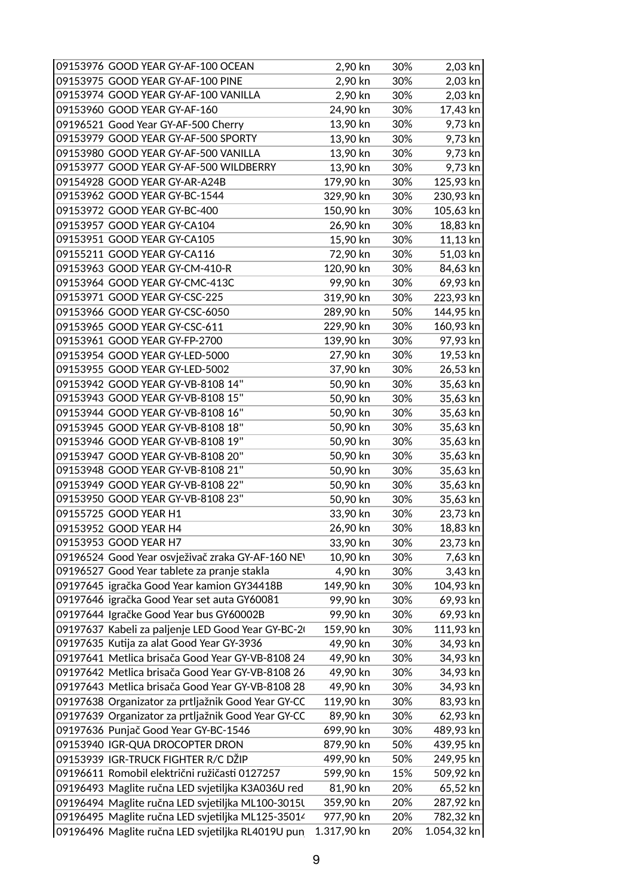| 09153976 GOOD YEAR GY-AF-100 OCEAN                 | 2,90 kn     | 30% | 2,03 kn       |
|----------------------------------------------------|-------------|-----|---------------|
| 09153975 GOOD YEAR GY-AF-100 PINE                  | 2,90 kn     | 30% | 2,03 kn       |
| 09153974 GOOD YEAR GY-AF-100 VANILLA               | 2,90 kn     | 30% | 2,03 kn       |
| 09153960 GOOD YEAR GY-AF-160                       | 24,90 kn    | 30% | 17,43 kn      |
| 09196521 Good Year GY-AF-500 Cherry                | 13,90 kn    | 30% | 9,73 kn       |
| 09153979 GOOD YEAR GY-AF-500 SPORTY                | 13,90 kn    | 30% | 9,73 kn       |
| 09153980 GOOD YEAR GY-AF-500 VANILLA               | 13,90 kn    | 30% | 9,73 kn       |
| 09153977 GOOD YEAR GY-AF-500 WILDBERRY             | 13,90 kn    | 30% | 9,73 kn       |
| 09154928 GOOD YEAR GY-AR-A24B                      | 179,90 kn   | 30% | 125,93 kn     |
| 09153962 GOOD YEAR GY-BC-1544                      | 329,90 kn   | 30% | 230,93 kn     |
| 09153972 GOOD YEAR GY-BC-400                       | 150,90 kn   | 30% | 105,63 kn     |
| 09153957 GOOD YEAR GY-CA104                        | 26,90 kn    | 30% | 18,83 kn      |
| 09153951 GOOD YEAR GY-CA105                        | 15,90 kn    | 30% | 11,13 kn      |
| 09155211 GOOD YEAR GY-CA116                        | 72,90 kn    | 30% | 51,03 kn      |
| 09153963 GOOD YEAR GY-CM-410-R                     | 120,90 kn   | 30% | 84,63 kn      |
| 09153964 GOOD YEAR GY-CMC-413C                     | 99,90 kn    | 30% | 69,93 kn      |
| 09153971 GOOD YEAR GY-CSC-225                      | 319,90 kn   | 30% | 223,93 kn     |
| 09153966 GOOD YEAR GY-CSC-6050                     | 289,90 kn   | 50% | 144,95 kn     |
| 09153965 GOOD YEAR GY-CSC-611                      | 229,90 kn   | 30% | 160,93 kn     |
| 09153961 GOOD YEAR GY-FP-2700                      | 139,90 kn   | 30% | 97,93 kn      |
| 09153954 GOOD YEAR GY-LED-5000                     | 27,90 kn    | 30% | 19,53 kn      |
| 09153955 GOOD YEAR GY-LED-5002                     | 37,90 kn    | 30% | 26,53 kn      |
| 09153942 GOOD YEAR GY-VB-8108 14"                  | 50,90 kn    | 30% | 35,63 kn      |
| 09153943 GOOD YEAR GY-VB-8108 15"                  | 50,90 kn    | 30% | 35,63 kn      |
| 09153944 GOOD YEAR GY-VB-8108 16"                  | 50,90 kn    | 30% | 35,63 kn      |
| 09153945 GOOD YEAR GY-VB-8108 18"                  | 50,90 kn    | 30% | 35,63 kn      |
| 09153946 GOOD YEAR GY-VB-8108 19"                  | 50,90 kn    | 30% | 35,63 kn      |
| 09153947 GOOD YEAR GY-VB-8108 20"                  | 50,90 kn    | 30% | 35,63 kn      |
| 09153948 GOOD YEAR GY-VB-8108 21"                  | 50,90 kn    | 30% | 35,63 kn      |
| 09153949 GOOD YEAR GY-VB-8108 22"                  | 50,90 kn    | 30% | 35,63 kn      |
| 09153950 GOOD YEAR GY-VB-8108 23"                  | 50,90 kn    | 30% | 35,63 kn      |
| 09155725 GOOD YEAR H1                              | 33,90 kn    | 30% | 23,73 kn      |
| 09153952 GOOD YEAR H4                              | 26,90 kn    | 30% | 18,83 kn      |
| 09153953 GOOD YEAR H7                              | 33,90 kn    | 30% | 23,73 kn      |
| 09196524 Good Year osvježivač zraka GY-AF-160 NEV  | 10,90 kn    | 30% | 7,63 kn       |
| 09196527 Good Year tablete za pranje stakla        | 4,90 kn     | 30% | 3,43 kn       |
| 09197645 igračka Good Year kamion GY34418B         | 149,90 kn   | 30% | 104,93 kn     |
| 09197646 igračka Good Year set auta GY60081        | 99,90 kn    | 30% | 69,93 kn      |
| 09197644 Igračke Good Year bus GY60002B            | 99,90 kn    | 30% | 69,93 kn      |
| 09197637 Kabeli za paljenje LED Good Year GY-BC-20 | 159,90 kn   | 30% | 111,93 kn     |
| 09197635 Kutija za alat Good Year GY-3936          | 49,90 kn    | 30% | 34,93 kn      |
| 09197641 Metlica brisača Good Year GY-VB-8108 24   | 49,90 kn    | 30% | 34,93 kn      |
| 09197642 Metlica brisača Good Year GY-VB-8108 26   | 49,90 kn    | 30% | 34,93 kn      |
| 09197643 Metlica brisača Good Year GY-VB-8108 28   | 49,90 kn    | 30% | 34,93 kn      |
| 09197638 Organizator za prtljažnik Good Year GY-CC | 119,90 kn   | 30% | 83,93 kn      |
| 09197639 Organizator za prtljažnik Good Year GY-CC | 89,90 kn    | 30% | 62,93 kn      |
| 09197636 Punjač Good Year GY-BC-1546               | 699,90 kn   | 30% | 489,93 kn     |
| 09153940 IGR-QUA DROCOPTER DRON                    | 879,90 kn   | 50% | 439,95 kn     |
| 09153939 IGR-TRUCK FIGHTER R/C DŽIP                | 499,90 kn   | 50% | 249,95 kn     |
| 09196611 Romobil električni ružičasti 0127257      | 599,90 kn   | 15% | 509,92 kn     |
| 09196493 Maglite ručna LED svjetiljka K3A036U red  | 81,90 kn    | 20% | 65,52 kn      |
| 09196494 Maglite ručna LED svjetiljka ML100-3015l  | 359,90 kn   | 20% | 287,92 kn     |
| 09196495 Maglite ručna LED svjetiljka ML125-35014  | 977,90 kn   | 20% | 782,32 kn     |
| 09196496 Maglite ručna LED svjetiljka RL4019U pun  | 1.317,90 kn | 20% | $1.054,32$ kn |